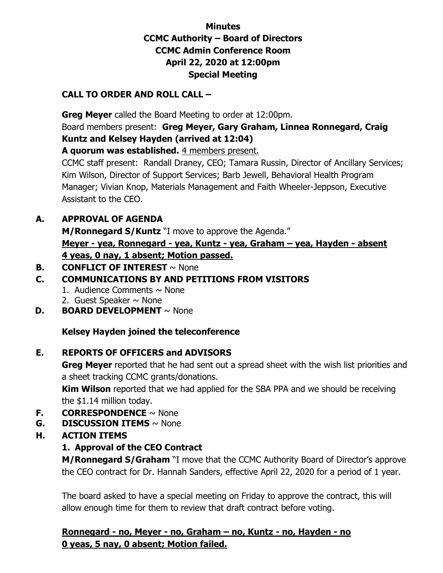### **Minutes CCMC Authority – Board of Directors CCMC Admin Conference Room April 22, 2020 at 12:00pm Special Meeting**

#### **CALL TO ORDER AND ROLL CALL –**

 **Greg Meyer** called the Board Meeting to order at 12:00pm. Board members present: **Greg Meyer, Gary Graham, Linnea Ronnegard, Craig Kuntz and Kelsey Hayden (arrived at 12:04)** 

**A quorum was established.** 4 members present.

CCMC staff present: Randall Draney, CEO; Tamara Russin, Director of Ancillary Services; Kim Wilson, Director of Support Services; Barb Jewell, Behavioral Health Program Manager; Vivian Knop, Materials Management and Faith Wheeler-Jeppson, Executive Assistant to the CEO.

### **A. APPROVAL OF AGENDA**

**M/Ronnegard S/Kuntz** "I move to approve the Agenda." **Meyer - yea, Ronnegard - yea, Kuntz - yea, Graham – yea, Hayden - absent 4 yeas, 0 nay, 1 absent; Motion passed.** 

### **B. CONFLICT OF INTEREST** ~ None

### **C. COMMUNICATIONS BY AND PETITIONS FROM VISITORS**

- 1. Audience Comments  $\sim$  None
- 2. Guest Speaker  $\sim$  None
- **D. BOARD DEVELOPMENT**  $\sim$  None

### **Kelsey Hayden joined the teleconference**

### **E. REPORTS OF OFFICERS and ADVISORS**

**Greg Meyer** reported that he had sent out a spread sheet with the wish list priorities and a sheet tracking CCMC grants/donations.

**Kim Wilson** reported that we had applied for the SBA PPA and we should be receiving the \$1.14 million today.

- **F. CORRESPONDENCE** ~ None
- **G. DISCUSSION ITEMS** ~ None
- **H. ACTION ITEMS** 
	- **1. Approval of the CEO Contract**

**M/Ronnegard S/Graham** "I move that the CCMC Authority Board of Director's approve the CEO contract for Dr. Hannah Sanders, effective April 22, 2020 for a period of 1 year.

The board asked to have a special meeting on Friday to approve the contract, this will allow enough time for them to review that draft contract before voting.

#### **Ronnegard - no, Meyer - no, Graham – no, Kuntz - no, Hayden - no 0 yeas, 5 nay, 0 absent; Motion failed.**